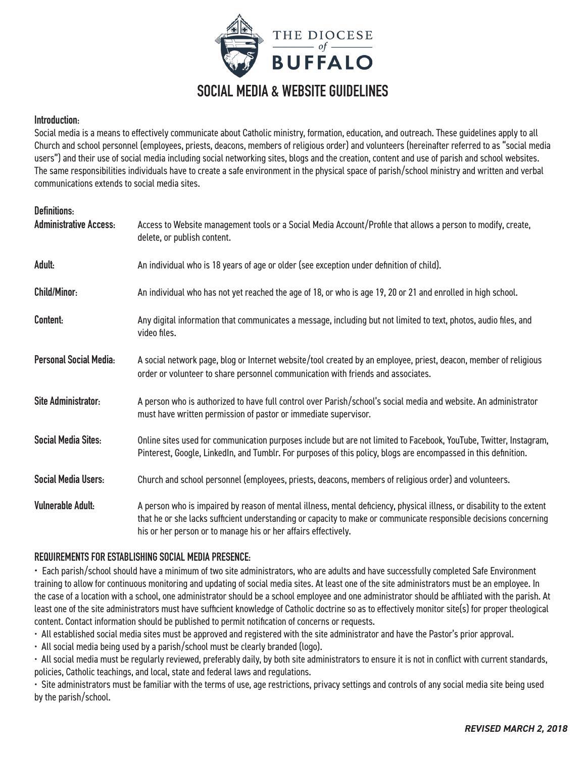

# **SOCIAL MEDIA & WEBSITE GUIDELINES**

#### **Introduction:**

Social media is a means to effectively communicate about Catholic ministry, formation, education, and outreach. These guidelines apply to all Church and school personnel (employees, priests, deacons, members of religious order) and volunteers (hereinafter referred to as "social media users") and their use of social media including social networking sites, blogs and the creation, content and use of parish and school websites. The same responsibilities individuals have to create a safe environment in the physical space of parish/school ministry and written and verbal communications extends to social media sites.

| <b>Definitions:</b><br><b>Administrative Access:</b> | Access to Website management tools or a Social Media Account/Profile that allows a person to modify, create,<br>delete, or publish content.                                                                                                                                                                   |
|------------------------------------------------------|---------------------------------------------------------------------------------------------------------------------------------------------------------------------------------------------------------------------------------------------------------------------------------------------------------------|
| Adult:                                               | An individual who is 18 years of age or older (see exception under definition of child).                                                                                                                                                                                                                      |
| <b>Child/Minor:</b>                                  | An individual who has not yet reached the age of 18, or who is age 19, 20 or 21 and enrolled in high school.                                                                                                                                                                                                  |
| Content:                                             | Any digital information that communicates a message, including but not limited to text, photos, audio files, and<br>video files.                                                                                                                                                                              |
| <b>Personal Social Media:</b>                        | A social network page, blog or Internet website/tool created by an employee, priest, deacon, member of religious<br>order or volunteer to share personnel communication with friends and associates.                                                                                                          |
| <b>Site Administrator:</b>                           | A person who is authorized to have full control over Parish/school's social media and website. An administrator<br>must have written permission of pastor or immediate supervisor.                                                                                                                            |
| <b>Social Media Sites:</b>                           | Online sites used for communication purposes include but are not limited to Facebook, YouTube, Twitter, Instagram,<br>Pinterest, Google, LinkedIn, and Tumblr. For purposes of this policy, blogs are encompassed in this definition.                                                                         |
| <b>Social Media Users:</b>                           | Church and school personnel (employees, priests, deacons, members of religious order) and volunteers.                                                                                                                                                                                                         |
| <b>Vulnerable Adult:</b>                             | A person who is impaired by reason of mental illness, mental deficiency, physical illness, or disability to the extent<br>that he or she lacks sufficient understanding or capacity to make or communicate responsible decisions concerning<br>his or her person or to manage his or her affairs effectively. |

#### **REQUIREMENTS FOR ESTABLISHING SOCIAL MEDIA PRESENCE:**

• Each parish/school should have a minimum of two site administrators, who are adults and have successfully completed Safe Environment training to allow for continuous monitoring and updating of social media sites. At least one of the site administrators must be an employee. In the case of a location with a school, one administrator should be a school employee and one administrator should be affiliated with the parish. At least one of the site administrators must have sufficient knowledge of Catholic doctrine so as to effectively monitor site(s) for proper theological content. Contact information should be published to permit notification of concerns or requests.

• All established social media sites must be approved and registered with the site administrator and have the Pastor's prior approval.

• All social media being used by a parish/school must be clearly branded (logo).

• All social media must be regularly reviewed, preferably daily, by both site administrators to ensure it is not in conflict with current standards, policies, Catholic teachings, and local, state and federal laws and regulations.

• Site administrators must be familiar with the terms of use, age restrictions, privacy settings and controls of any social media site being used by the parish/school.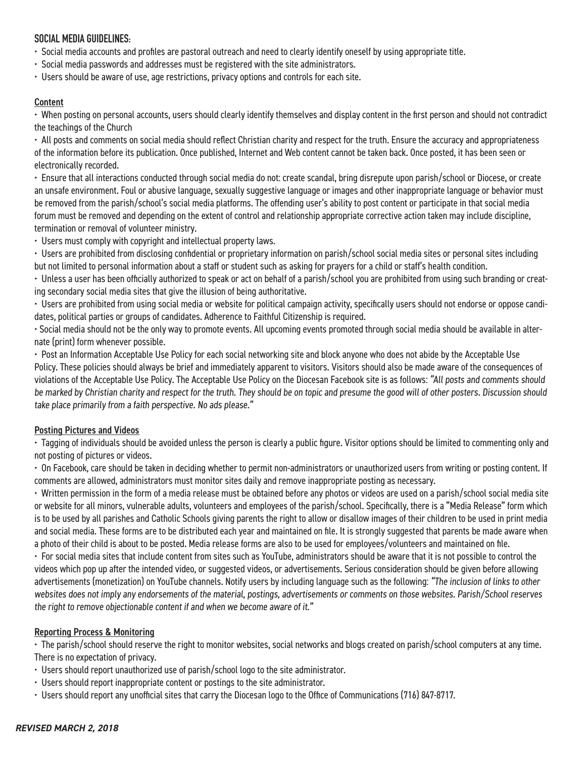## **SOCIAL MEDIA GUIDELINES:**

- Social media accounts and profiles are pastoral outreach and need to clearly identify oneself by using appropriate title.
- Social media passwords and addresses must be registered with the site administrators.
- Users should be aware of use, age restrictions, privacy options and controls for each site.

## Content

• When posting on personal accounts, users should clearly identify themselves and display content in the first person and should not contradict the teachings of the Church

• All posts and comments on social media should reflect Christian charity and respect for the truth. Ensure the accuracy and appropriateness of the information before its publication. Once published, Internet and Web content cannot be taken back. Once posted, it has been seen or electronically recorded.

• Ensure that all interactions conducted through social media do not: create scandal, bring disrepute upon parish/school or Diocese, or create an unsafe environment. Foul or abusive language, sexually suggestive language or images and other inappropriate language or behavior must be removed from the parish/school's social media platforms. The offending user's ability to post content or participate in that social media forum must be removed and depending on the extent of control and relationship appropriate corrective action taken may include discipline, termination or removal of volunteer ministry.

• Users must comply with copyright and intellectual property laws.

• Users are prohibited from disclosing confidential or proprietary information on parish/school social media sites or personal sites including but not limited to personal information about a staff or student such as asking for prayers for a child or staff's health condition.

• Unless a user has been officially authorized to speak or act on behalf of a parish/school you are prohibited from using such branding or creating secondary social media sites that give the illusion of being authoritative.

• Users are prohibited from using social media or website for political campaign activity, specifically users should not endorse or oppose candidates, political parties or groups of candidates. Adherence to Faithful Citizenship is required.

• Social media should not be the only way to promote events. All upcoming events promoted through social media should be available in alternate (print) form whenever possible.

• Post an Information Acceptable Use Policy for each social networking site and block anyone who does not abide by the Acceptable Use Policy. These policies should always be brief and immediately apparent to visitors. Visitors should also be made aware of the consequences of violations of the Acceptable Use Policy. The Acceptable Use Policy on the Diocesan Facebook site is as follows: "All posts and comments should be marked by Christian charity and respect for the truth. They should be on topic and presume the good will of other posters. Discussion should take place primarily from a faith perspective. No ads please."

#### Posting Pictures and Videos

• Tagging of individuals should be avoided unless the person is clearly a public figure. Visitor options should be limited to commenting only and not posting of pictures or videos.

• On Facebook, care should be taken in deciding whether to permit non-administrators or unauthorized users from writing or posting content. If comments are allowed, administrators must monitor sites daily and remove inappropriate posting as necessary.

• Written permission in the form of a media release must be obtained before any photos or videos are used on a parish/school social media site or website for all minors, vulnerable adults, volunteers and employees of the parish/school. Specifically, there is a "Media Release" form which is to be used by all parishes and Catholic Schools giving parents the right to allow or disallow images of their children to be used in print media and social media. These forms are to be distributed each year and maintained on file. It is strongly suggested that parents be made aware when a photo of their child is about to be posted. Media release forms are also to be used for employees/volunteers and maintained on file.

• For social media sites that include content from sites such as YouTube, administrators should be aware that it is not possible to control the videos which pop up after the intended video, or suggested videos, or advertisements. Serious consideration should be given before allowing advertisements (monetization) on YouTube channels. Notify users by including language such as the following: "The inclusion of links to other websites does not imply any endorsements of the material, postings, advertisements or comments on those websites. Parish/School reserves the right to remove objectionable content if and when we become aware of it."

#### Reporting Process & Monitoring

• The parish/school should reserve the right to monitor websites, social networks and blogs created on parish/school computers at any time. There is no expectation of privacy.

- Users should report unauthorized use of parish/school logo to the site administrator.
- Users should report inappropriate content or postings to the site administrator.
- Users should report any unofficial sites that carry the Diocesan logo to the Office of Communications (716) 847-8717.